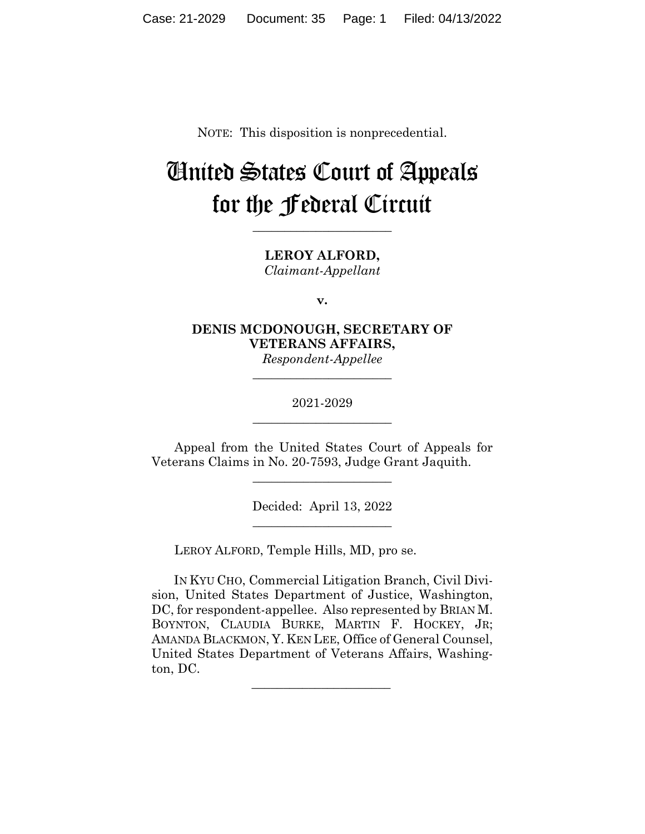NOTE: This disposition is nonprecedential.

# United States Court of Appeals for the Federal Circuit

**\_\_\_\_\_\_\_\_\_\_\_\_\_\_\_\_\_\_\_\_\_\_** 

**LEROY ALFORD,** *Claimant-Appellant*

**v.**

**DENIS MCDONOUGH, SECRETARY OF VETERANS AFFAIRS,** *Respondent-Appellee*

> 2021-2029 **\_\_\_\_\_\_\_\_\_\_\_\_\_\_\_\_\_\_\_\_\_\_**

> **\_\_\_\_\_\_\_\_\_\_\_\_\_\_\_\_\_\_\_\_\_\_**

Appeal from the United States Court of Appeals for Veterans Claims in No. 20-7593, Judge Grant Jaquith.

\_\_\_\_\_\_\_\_\_\_\_\_\_\_\_\_\_\_\_\_\_\_

Decided: April 13, 2022  $\overline{\phantom{a}}$  , we can assume that the contract of  $\overline{\phantom{a}}$ 

LEROY ALFORD, Temple Hills, MD, pro se.

 $\mathcal{L}_\text{max}$  and  $\mathcal{L}_\text{max}$  and  $\mathcal{L}_\text{max}$  and  $\mathcal{L}_\text{max}$ 

 IN KYU CHO, Commercial Litigation Branch, Civil Division, United States Department of Justice, Washington, DC, for respondent-appellee. Also represented by BRIAN M. BOYNTON, CLAUDIA BURKE, MARTIN F. HOCKEY, JR; AMANDA BLACKMON, Y. KEN LEE, Office of General Counsel, United States Department of Veterans Affairs, Washington, DC.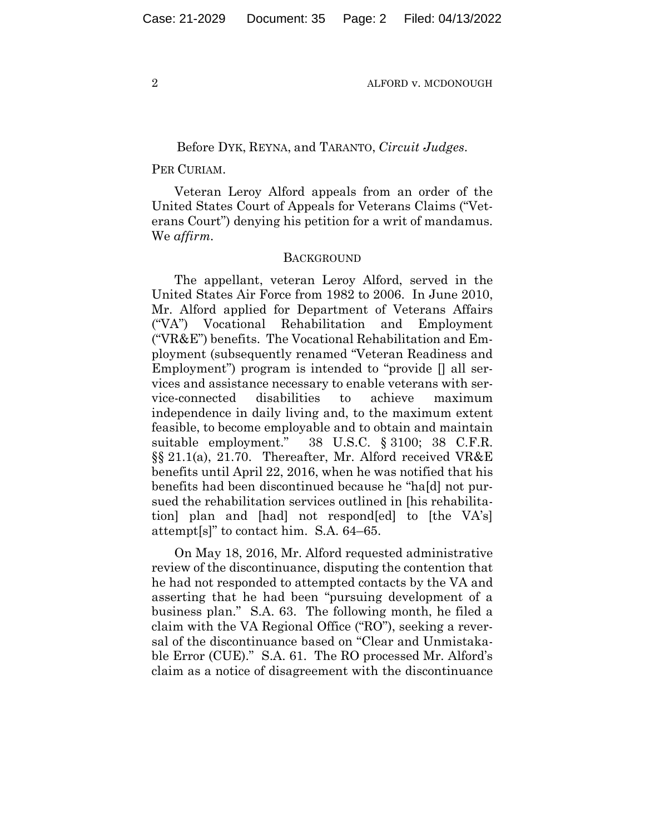## Before DYK, REYNA, and TARANTO, *Circuit Judges*.

## PER CURIAM.

Veteran Leroy Alford appeals from an order of the United States Court of Appeals for Veterans Claims ("Veterans Court") denying his petition for a writ of mandamus. We *affirm.*

#### **BACKGROUND**

The appellant, veteran Leroy Alford, served in the United States Air Force from 1982 to 2006. In June 2010, Mr. Alford applied for Department of Veterans Affairs ("VA") Vocational Rehabilitation and Employment ("VR&E") benefits. The Vocational Rehabilitation and Employment (subsequently renamed "Veteran Readiness and Employment") program is intended to "provide  $\parallel$  all services and assistance necessary to enable veterans with service-connected disabilities to achieve maximum independence in daily living and, to the maximum extent feasible, to become employable and to obtain and maintain suitable employment." 38 U.S.C. § 3100; 38 C.F.R. §§ 21.1(a), 21.70. Thereafter, Mr. Alford received VR&E benefits until April 22, 2016, when he was notified that his benefits had been discontinued because he "ha[d] not pursued the rehabilitation services outlined in [his rehabilitation] plan and [had] not respond[ed] to [the VA's] attempt[s]" to contact him. S.A. 64–65.

On May 18, 2016, Mr. Alford requested administrative review of the discontinuance, disputing the contention that he had not responded to attempted contacts by the VA and asserting that he had been "pursuing development of a business plan." S.A. 63. The following month, he filed a claim with the VA Regional Office ("RO"), seeking a reversal of the discontinuance based on "Clear and Unmistakable Error (CUE)." S.A. 61. The RO processed Mr. Alford's claim as a notice of disagreement with the discontinuance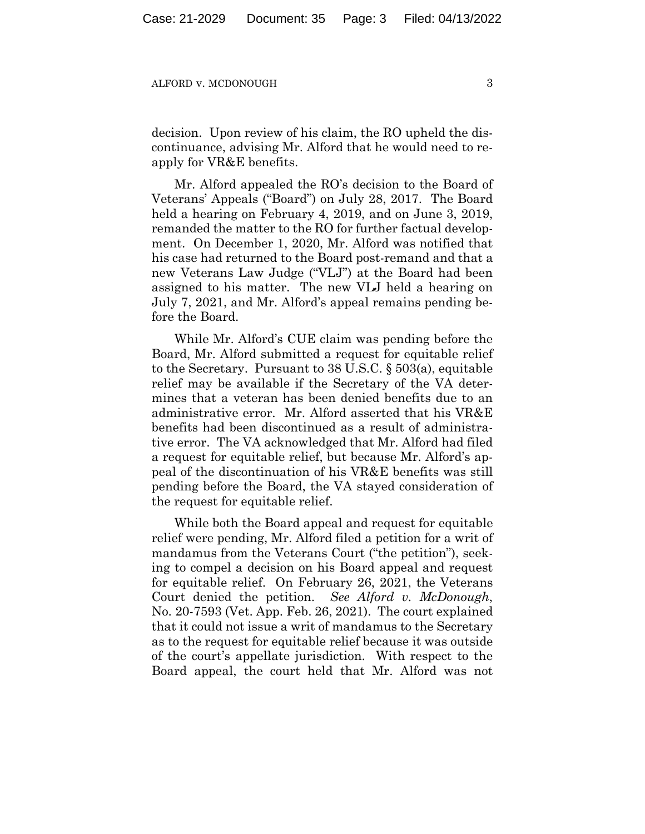decision. Upon review of his claim, the RO upheld the discontinuance, advising Mr. Alford that he would need to reapply for VR&E benefits.

Mr. Alford appealed the RO's decision to the Board of Veterans' Appeals ("Board") on July 28, 2017. The Board held a hearing on February 4, 2019, and on June 3, 2019, remanded the matter to the RO for further factual development. On December 1, 2020, Mr. Alford was notified that his case had returned to the Board post-remand and that a new Veterans Law Judge ("VLJ") at the Board had been assigned to his matter. The new VLJ held a hearing on July 7, 2021, and Mr. Alford's appeal remains pending before the Board.

While Mr. Alford's CUE claim was pending before the Board, Mr. Alford submitted a request for equitable relief to the Secretary. Pursuant to 38 U.S.C. § 503(a), equitable relief may be available if the Secretary of the VA determines that a veteran has been denied benefits due to an administrative error. Mr. Alford asserted that his VR&E benefits had been discontinued as a result of administrative error. The VA acknowledged that Mr. Alford had filed a request for equitable relief, but because Mr. Alford's appeal of the discontinuation of his VR&E benefits was still pending before the Board, the VA stayed consideration of the request for equitable relief.

While both the Board appeal and request for equitable relief were pending, Mr. Alford filed a petition for a writ of mandamus from the Veterans Court ("the petition"), seeking to compel a decision on his Board appeal and request for equitable relief. On February 26, 2021, the Veterans Court denied the petition. *See Alford v. McDonough*, No. 20-7593 (Vet. App. Feb. 26, 2021). The court explained that it could not issue a writ of mandamus to the Secretary as to the request for equitable relief because it was outside of the court's appellate jurisdiction. With respect to the Board appeal, the court held that Mr. Alford was not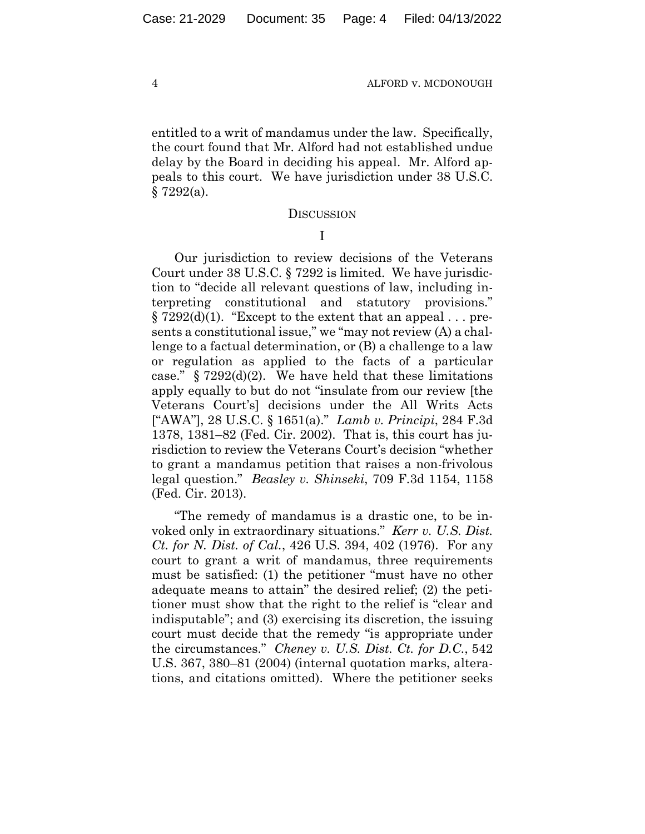entitled to a writ of mandamus under the law. Specifically, the court found that Mr. Alford had not established undue delay by the Board in deciding his appeal. Mr. Alford appeals to this court. We have jurisdiction under 38 U.S.C.  $§ 7292(a).$ 

#### **DISCUSSION**

I

Our jurisdiction to review decisions of the Veterans Court under 38 U.S.C. § 7292 is limited. We have jurisdiction to "decide all relevant questions of law, including interpreting constitutional and statutory provisions."  $\S 7292(d)(1)$ . "Except to the extent that an appeal ... presents a constitutional issue," we "may not review (A) a challenge to a factual determination, or (B) a challenge to a law or regulation as applied to the facts of a particular case."  $\S 7292(d)(2)$ . We have held that these limitations apply equally to but do not "insulate from our review [the Veterans Court's] decisions under the All Writs Acts ["AWA"], 28 U.S.C. § 1651(a)." *Lamb v. Principi*, 284 F.3d 1378, 1381–82 (Fed. Cir. 2002). That is, this court has jurisdiction to review the Veterans Court's decision "whether to grant a mandamus petition that raises a non-frivolous legal question." *Beasley v. Shinseki*, 709 F.3d 1154, 1158 (Fed. Cir. 2013).

"The remedy of mandamus is a drastic one, to be invoked only in extraordinary situations." *Kerr v. U.S. Dist. Ct. for N. Dist. of Cal.*, 426 U.S. 394, 402 (1976). For any court to grant a writ of mandamus, three requirements must be satisfied: (1) the petitioner "must have no other adequate means to attain" the desired relief; (2) the petitioner must show that the right to the relief is "clear and indisputable"; and (3) exercising its discretion, the issuing court must decide that the remedy "is appropriate under the circumstances." *Cheney v. U.S. Dist. Ct. for D.C.*, 542 U.S. 367, 380–81 (2004) (internal quotation marks, alterations, and citations omitted). Where the petitioner seeks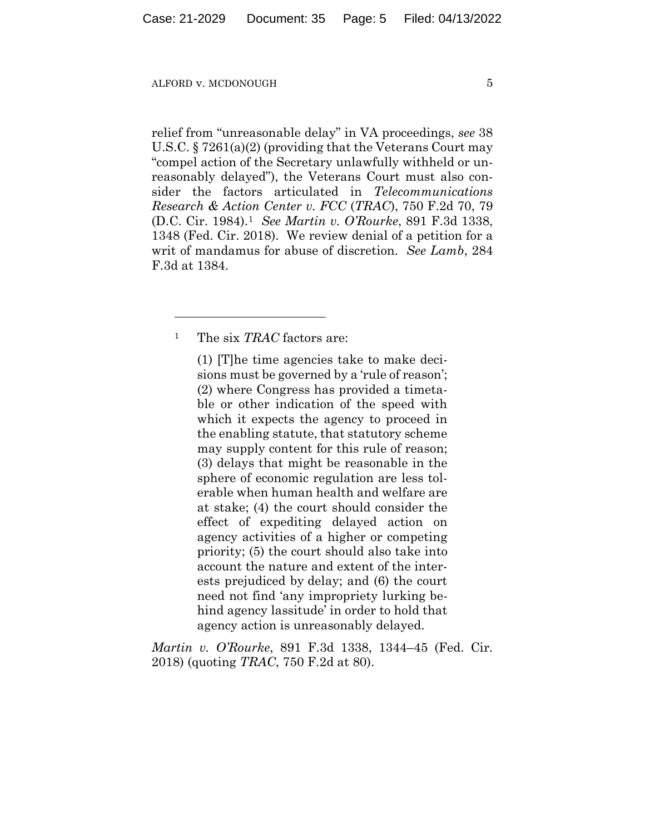relief from "unreasonable delay" in VA proceedings, *see* 38 U.S.C. § 7261(a)(2) (providing that the Veterans Court may "compel action of the Secretary unlawfully withheld or unreasonably delayed"), the Veterans Court must also consider the factors articulated in *Telecommunications Research & Action Center v. FCC* (*TRAC*), 750 F.2d 70, 79 (D.C. Cir. 1984).1 *See Martin v. O'Rourke*, 891 F.3d 1338, 1348 (Fed. Cir. 2018). We review denial of a petition for a writ of mandamus for abuse of discretion. *See Lamb*, 284 F.3d at 1384.

1 The six *TRAC* factors are:

(1) [T]he time agencies take to make decisions must be governed by a 'rule of reason'; (2) where Congress has provided a timetable or other indication of the speed with which it expects the agency to proceed in the enabling statute, that statutory scheme may supply content for this rule of reason; (3) delays that might be reasonable in the sphere of economic regulation are less tolerable when human health and welfare are at stake; (4) the court should consider the effect of expediting delayed action on agency activities of a higher or competing priority; (5) the court should also take into account the nature and extent of the interests prejudiced by delay; and (6) the court need not find 'any impropriety lurking behind agency lassitude' in order to hold that agency action is unreasonably delayed.

*Martin v. O'Rourke*, 891 F.3d 1338, 1344–45 (Fed. Cir. 2018) (quoting *TRAC*, 750 F.2d at 80).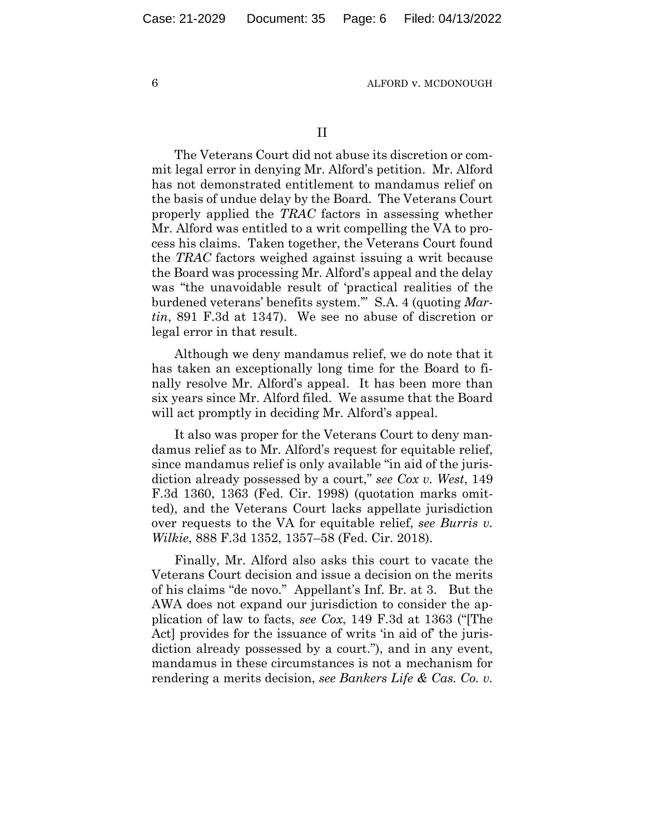II

The Veterans Court did not abuse its discretion or commit legal error in denying Mr. Alford's petition. Mr. Alford has not demonstrated entitlement to mandamus relief on the basis of undue delay by the Board. The Veterans Court properly applied the *TRAC* factors in assessing whether Mr. Alford was entitled to a writ compelling the VA to process his claims. Taken together, the Veterans Court found the *TRAC* factors weighed against issuing a writ because the Board was processing Mr. Alford's appeal and the delay was "the unavoidable result of 'practical realities of the burdened veterans' benefits system.'" S.A. 4 (quoting *Martin*, 891 F.3d at 1347). We see no abuse of discretion or legal error in that result.

Although we deny mandamus relief, we do note that it has taken an exceptionally long time for the Board to finally resolve Mr. Alford's appeal. It has been more than six years since Mr. Alford filed. We assume that the Board will act promptly in deciding Mr. Alford's appeal.

It also was proper for the Veterans Court to deny mandamus relief as to Mr. Alford's request for equitable relief, since mandamus relief is only available "in aid of the jurisdiction already possessed by a court," *see Cox v. West*, 149 F.3d 1360, 1363 (Fed. Cir. 1998) (quotation marks omitted), and the Veterans Court lacks appellate jurisdiction over requests to the VA for equitable relief, *see Burris v. Wilkie*, 888 F.3d 1352, 1357–58 (Fed. Cir. 2018).

Finally, Mr. Alford also asks this court to vacate the Veterans Court decision and issue a decision on the merits of his claims "de novo." Appellant's Inf. Br. at 3. But the AWA does not expand our jurisdiction to consider the application of law to facts, *see Cox*, 149 F.3d at 1363 ("[The Act] provides for the issuance of writs 'in aid of' the jurisdiction already possessed by a court."), and in any event, mandamus in these circumstances is not a mechanism for rendering a merits decision, *see Bankers Life & Cas. Co. v.*